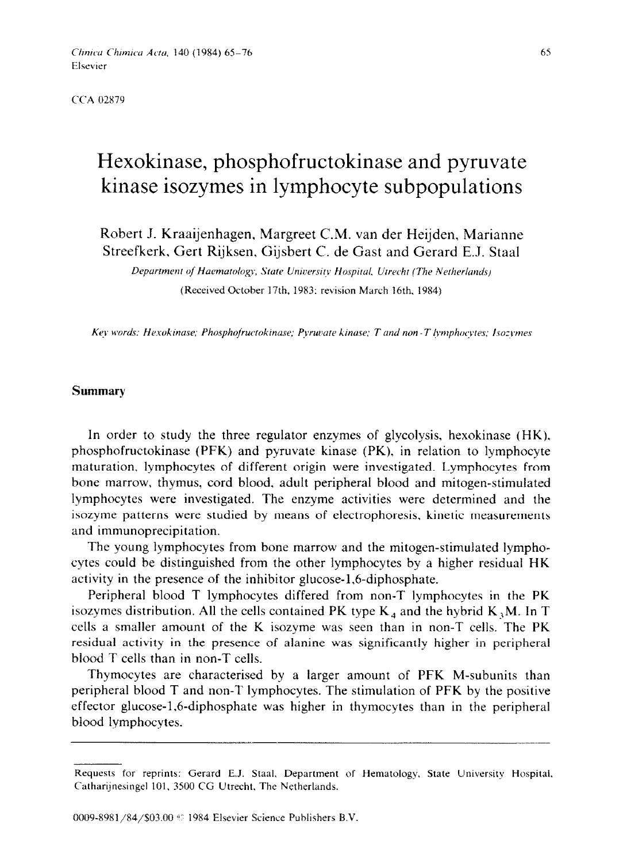Clinica Chimica Acta, 140 (1984) 65-76 Elsevier

CCA 02879

# Hexokinase, phosphofructokinase and pyruvate kinase isozyrnes in lymphocyte subpopulations

Robert J. Kraaijenhagen, Margreet C.M. van der Heijden, Marianne Streefkerk, Gert Rijksen, Gijsbert C. de Gast and Gerard E.J. Staal

Department of Haematology, State University Hospital, Utrecht (The Netherlands) (Received October 17th. 1983: revision March 16th. 1984)

Key words: Hexokinase; Phosphofructokinase; Pyruvate kinase; T and non-T lymphocytes; Isozymes

## **Summary**

In order to study the three regulator enzymes of glycolysis, hexokinase (HK). phosphofructokinase (PFK) and pyruvate kinase (PK), in relation to lymphocyte maturation, lymphocytes of different origin were investigated. Lymphocytes from bone marrow, thymus, cord blood, adult peripheral blood and mitogen-stimulated lymphocytes were investigated. The enzyme activities were determined and the isozyme patterns were studied by means of electrophoresis, kinetic measurements and immunoprecipitation.

The young lymphocytes from bone marrow and the mitogen-stimulated lymphocytes could be distinguished from the other lymphocytes by a higher residual HK activity in the presence of the inhibitor glucose-1,6-diphosphate.

Peripheral blood T lymphocytes differed from non-T lymphocytes in the PK isozymes distribution. All the cells contained PK type  $K_4$  and the hybrid  $K_3M$ . In T cells a smaller amount of the K isozyme was seen than in non-T cells. The PK residual activity in the presence of alanine was significantly higher in peripheral blood T cells than in non-T cells.

Thymocytes are characterised by a larger amount of PFK M-subunits than peripheral blood T and non-T lymphocytes. The stimulation of PFK by the positive effector glucose-1,Gdiphosphate was higher in thymocytes than in the peripheral blood lymphocytes.

Requests for reprints: Gerard E.J. Staal. Department of Hematology. State University Hospital. Catharijnesingel 101. 3500 CG Utrecht. The Netherlands.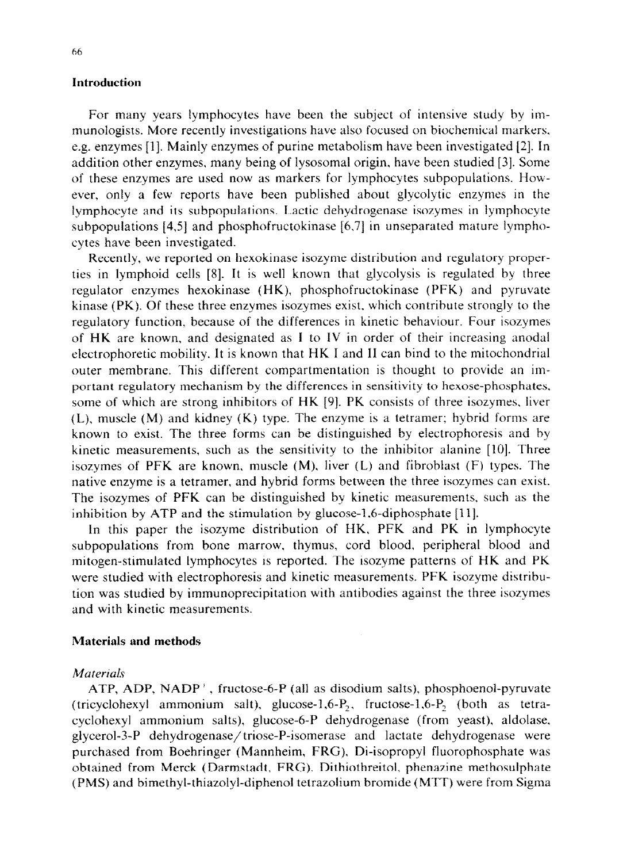#### **Introduction**

For many years lymphocytes have been the subject of intensive study by immunologists. More recently investigations have also focused on biochemical markers, e.g. enzymes [I]. Mainly enzymes of purine metabolism have been investigated 121. In addition other enzymes, many being of lysosomal origin, have been studied [3]. Some of these enzymes are used now as markers for lymphocytes subpopulations. However, only a few reports have been published about glycolytic enzymes in the lymphocyte and its subpopulations. Lactic dehydrogenase isozymes in lymphocyte subpopulations  $[4.5]$  and phosphofructokinase  $[6.7]$  in unseparated mature lymphocytes have been investigated.

Recently, we reported on hexokinase isozyme distribution and regulatory properties in lymphoid cells 181. It is well known that glycolysis is regulated by three regulator enzymes hexokinase (HK), phosphofructokinase (PFK) and pyruvate kinase (PK). Of these three enzymes isozymes exist. which contribute strongly to the regulatory function. because of the differences in kinetic behaviour. Four isozymes of HK are known, and designated as I to IV in order of their increasing anodal electrophoretic mobility. It is known that HK I and II can bind to the mitochondrial outer membrane. This different compartmentation is thought to provide an important regulatory mechanism by the differences in sensitivity to hexose-phosphates, some of which are strong inhibitors of HK [9]. PK consists of three isozymes. liver (L), **muscle** (M) and kidney (K) type. The enzyme is a tetramer; hybrid forms are known to exist. The three forms can be distinguished by electrophoresis and by kinetic measurements, such as the sensitivity to the inhibitor alanine [lo]. Three isozymes of PFK are known, muscle (M), liver (L) and fibroblast (F) types. The native enzyme is a tetramer, and hybrid forms between the three isozymes can exist. The isozymes of PFK can be distinguished by kinetic measurements, such as the inhibition by ATP and the stimulation by glucose-1,6-diphosphate  $[11]$ .

In this paper the isozyme distribution of HK, PFK and PK in lymphocyte subpopulations from bone marrow, thymus, cord blood, peripheral blood and mitogen-stimulated lymphocytes is reported. The isozyme patterns of HK and PK were studied with electrophoresis and kinetic measurements. PFK isozyme distribution was studied by immunoprecipitation with antibodies against the three isozymes and with kinetic measurements.

#### **Materials and methods**

#### **Materials**

ATP, ADP,  $NADP^+$ , fructose-6-P (all as disodium salts), phosphoenol-pyruvate (tricyclohexyl ammonium salt), glucose-1,6- $P_2$ , fructose-1,6- $P_2$  (both as tetracyclohexyl ammonium salts). glucose-6-P dehydrogenase (from yeast), aldolase, glycerol-3-P dehydrogenase/triose-P-isomerase and lactate dehydrogenase were purchased from Boehringer (Mannheim, FRG), Di-isopropyl fluorophosphate was obtained from Merck (Darmstadt, FRG). Dithiothreitol, phenazine methosulphate (PMS) and bimethyl-thiazolyl-diphenol tetrazolium bromide (MTT) were from Sigma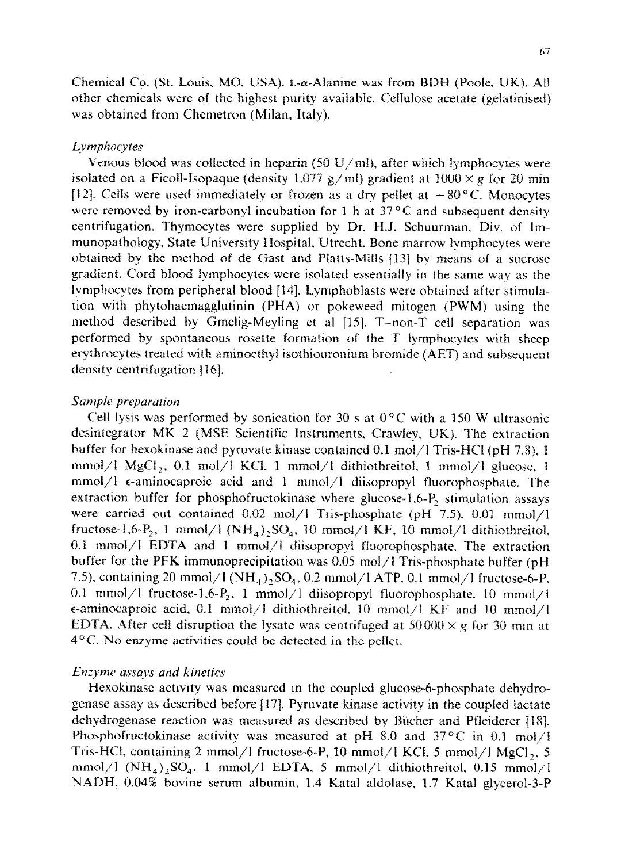Chemical Co. (St. Louis, MO, USA).  $L-\alpha$ -Alanine was from BDH (Poole, UK). All other chemicals were of the highest purity available. Celtulose acetate (gelatinised) was obtained from Chemetron (Milan, Italy).

## Lymphocytes

Venous blood was collected in heparin (50 U/ml), after which lymphocytes were isolated on a Ficoll-Isopaque (density 1.077 g/ml) gradient at  $1000 \times g$  for 20 min [12]. Cells were used immediately or frozen as a dry pellet at  $-80^{\circ}$ C. Monocytes were removed by iron-carbonyl incubation for 1 h at  $37^{\circ}$ C and subsequent density centrifugation. Thymocytes were supplied by Dr. H.J. Schuurman. Div. of lmmunopathology, State University Hospital, Utrecht. Bone marrow lymphocytes were obtained by the method of de Gast and Ptatts-Mills [13] by means of a sucrose gradient. Cord bfood Iymphocytes were isolated essentiaily in the same way as the lymphocytes from peripheral blood [ 141. Lymphoblasts were obtained after stimulation with phytohaemagglutinin (PHA) or pokeweed mitogen (PWM) using the method described by Gmelig-Meyling et al [15]. T-non-T cell separation was performed by spontaneous rosette formation of the T lymphocytes with sheep erythrocytes treated with aminoethyl isothiouronium bromide (AET) and subsequent density centrifugation [16].

## *Sunlple preparation*

Cell lysis was performed by sonication for 30 s at  $0^{\circ}$ C with a 150 W ultrasonic desintegrator MK 2 (MSE Scientific Instruments, Crawley, UK). The extraction buffer for hexokinase and pyruvate kinase contained 0.1 mol/l Tris-HCl (pH 7.8), 1 mmol/l MgCl<sub>2</sub>, 0.1 mol/l KCl, 1 mmol/l dithiothreitol, 1 mmol/l glucose, 1  $mmol/l$   $\epsilon$ -aminocaproic acid and 1 mmol/l diisopropyl fluorophosphate. The extraction buffer for phosphofructokinase where glucose-1.6- $P_2$  stimulation assays were carried out contained 0.02 mol/l Tris-phosphate (pH 7.5), 0.01 mmol/l fructose-1,6-P<sub>2</sub>, 1 mmol/l  $(NH_4)$ <sub>2</sub>SO<sub>4</sub>, 10 mmol/l KF, 10 mmol/l dithiothreitol, 0.1 mmol/l EDTA and 1 mmol/l diisopropyl fluorophosphate. The extraction buffer for the PFK immunoprecipitation was 0.05 mol/l Tris-phosphate buffer (pH 7.5), containing 20 mmol/l (NH<sub>4</sub>)<sub>2</sub>SO<sub>4</sub>, 0.2 mmol/l ATP, 0.1 mmol/l fructose-6-P. 0.1 mmol/l fructose-1,6- $P_2$ , 1 mmol/l diisopropyl fluorophosphate. 10 mmol/l  $\epsilon$ -aminocaproic acid, 0.1 mmol/1 dithiothreitol, 10 mmol/l KF and 10 mmol/1 EDTA. After cell disruption the lysate was centrifuged at  $50000 \times g$  for 30 min at 4°C. No enzyme activities could be detected in the pellet.

# *Enzyme assays and kinetics*

Hexokinase activity was measured in the coupled glucose-6-phosphate dehydrogenase assay as described before f17]. Pyruvate kinase activity in the coupled lactate dehydrogenase reaction was measured as described by Bücher and Pfleiderer [18]. Phosphofructokinase activity was measured at pH 8.0 and  $37^{\circ}$ C in 0.1 mol/l Tris-HCl, containing 2 mmol/I fructose-6-P, 10 mmol/l KCI, 5 mmol/I **MgCl 2, 5**  mmol/l  $(NH_4)_2SO_4$ , 1 mmol/l EDTA, 5 mmol/l dithiothreitol, 0.15 mmol/l NADH, 0.04% bovine serum albumin, 1.4 Katal aldolase, 1.7 Katal glycerol-3-P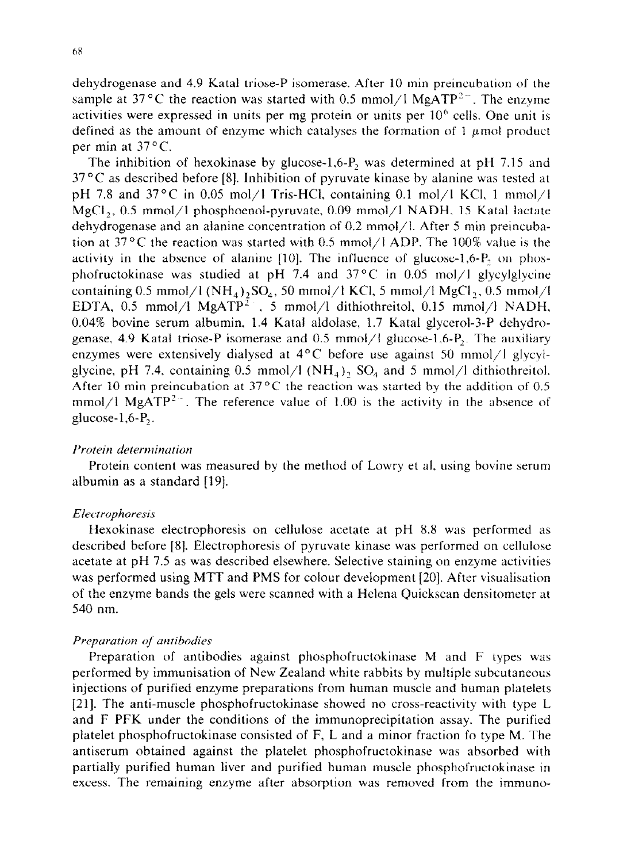dehydrogenase and 4.9 Katal triose-P isomerase. After 10 min preincubation of the sample at 37 °C the reaction was started with 0.5 mmol/l MgATP<sup>2-</sup>. The enzyme activities were expressed in units per mg protein or units per  $10<sup>6</sup>$  cells. One unit is defined as the amount of enzyme which catalyses the formation of  $1 \mu$  mol product per min at  $37^{\circ}$ C.

The inhibition of hexokinase by glucose-1,6-P, was determined at pH 7.15 and  $37^{\circ}$ C as described before [8]. Inhibition of pyruvate kinase by alanine was tested at pH 7.8 and 37 $\degree$ C in 0.05 mol/1 Tris-HCl, containing 0.1 mol/1 KCl, 1 mmol/1 MgC12, 0.5 mmol/l phosphoenol-pyruvate, 0.09 mmol/l NADH, 15 Katal lactate dehydrogenase and an alanine concentration of 0.2 mmol/l. After 5 min preincubation at 37 $\rm{^{\circ}C}$  the reaction was started with 0.5 mmol/l ADP. The 100% value is the activity in the absence of alanine  $[10]$ . The influence of glucose-1,6-P, on phosphofructokinase was studied at pH 7.4 and  $37^{\circ}$ C in 0.05 mol/l glycylglycine containing 0.5 mmol/l  $(NH_4)_2SO_4$ , 50 mmol/l KCl, 5 mmol/l MgCl<sub>2</sub>, 0.5 mmol/l EDTA, 0.5 mmol/l MgATP<sup>2-</sup>, 5 mmol/l dithiothreitol, 0.15 mmol/l NADH, 0.04% bovine serum albumin, 1.4 Katal aldotase, 1.7 Katal glycerol-3-P dehydrogenase, 4.9 Katal triose-P isomerase and 0.5 mmol/l glucose-1,6-P<sub>2</sub>. The auxiliary enzymes were extensively dialysed at  $4^{\circ}$ C before use against 50 mmol/l glycylglycine, pH 7.4, containing 0.5 mmol/l  $(NH<sub>4</sub>)<sub>2</sub>$  SO<sub>4</sub> and 5 mmol/l dithiothreitol. After 10 min preincubation at  $37^{\circ}$ C the reaction was started by the addition of 0.5 mmol/l MgATP<sup>2-</sup>. The reference value of 1.00 is the activity in the absence of glucose- $1,6-P$ <sub>2</sub>.

## *Protein determination*

Protein content was measured by the method of Lowry et al, using bovine serum albumin as a standard [19].

#### *Elecrrophoresis*

Hexokinase electrophoresis on cellulose acetate at pH 8.8 was performed as described before [8]. Electrophoresis of pyruvate kinase was performed on cellulose acetate at pH 7.5 as was described elsewhere. Selective staining on enzyme activities was performed using MTT and PMS for colour development [20]. After visualisation of the enzyme bands the gels were scanned with a Helena Quickscan densitometer at 540 nm.

#### *Prepurutim of mtiho&s*

Preparation of antibodies against phosphofructokinase M and F types was performed by immunisation of New Zealand white rabbits by multiple subcutaneous injections of purified enzyme preparations from human muscle and human platelets 1211. The anti-muscle phosphofructokinase showed no cross-reactivity with type L and F PFK under the conditions of the immunoprecipitation assay. The purified platelet phosphofructokinase consisted of F, L and a minor fraction fo type M. The antiserum obtained against the platelet phosphofructokinase was absorbed with partially purified human liver and purified human muscle phosphofructokinase in excess. The remaining enzyme after absorption was removed from the immuno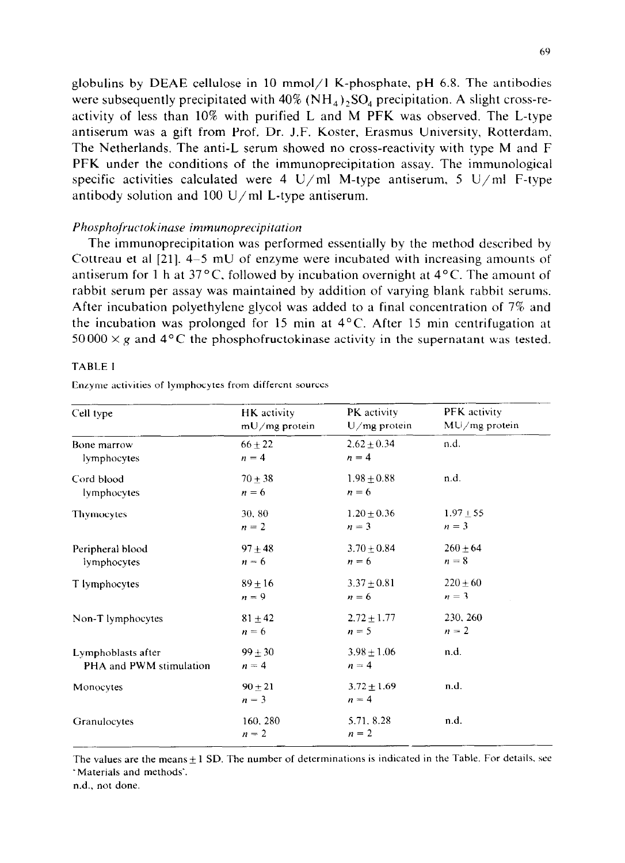globulins by DEAE cellulose in 10 mmol/l K-phosphate, pH 6.8. The antibodies were subsequently precipitated with  $40\%$  (NH<sub>4</sub>), SO<sub>4</sub> precipitation. A slight cross-reactivity of less than 10% with purified L and M PFK was observed. The L-type antiserum was a gift from Prof. Dr. J.F. Koster, Erasmus University, Rotterdam. The Netherlands. The anti-L serum showed no cross-reactivity with type M and F PFK under the conditions of the immunoprecipitation assay. The immunological specific activities calculated were 4 U/ml M-type antiserum, 5 U/ml F-type antibody solution and  $100 \text{ U/ml}$  L-type antiserum.

## *Phosphofructokinuse immunoprecipitation*

The immunoprecipitation was performed essentially by the method described by Cottreau et al [21]. 4-5 mU of enzyme were incubated with increasing amounts of antiserum for 1 h at  $37^{\circ}$ C, followed by incubation overnight at  $4^{\circ}$ C. The amount of rabbit serum per assay was maintained by addition of varying blank rabbit serums. After incubation polyethylene glycol was added to a final concentration of 7% and the incubation was prolonged for 15 min at 4°C. After 15 min centrifugation at  $50000 \times g$  and  $4^{\circ}$ C the phosphofructokinase activity in the supernatant was tested.

#### TABLE I

|  |  | Enzyme activities of lymphocytes from different sources |
|--|--|---------------------------------------------------------|
|--|--|---------------------------------------------------------|

| Cell type               | HK activity            | PK activity              | PFK activity    |
|-------------------------|------------------------|--------------------------|-----------------|
|                         | mU/mg protein          | $U/mg$ protein           | $MU/mg$ protein |
| Bone marrow             | $66 + 22$              | $2.62 \pm 0.34$          | n.d.            |
| lymphocytes             | $n = 4$                | $n = 4$                  |                 |
| Cord blood              | $70 + 38$              | $1.98 \pm 0.88$          | n.d.            |
| lymphocytes             | $n = 6$                | $n = 6$                  |                 |
| Thymocytes              | 30, 80                 | $1.20 \pm 0.36$          | $1.97 \pm 55$   |
|                         | $n=2$                  | $n = 3$                  | $n = 3$         |
| Peripheral blood        | $97 + 48$              | $3.70 \pm 0.84$          | $260 \pm 64$    |
| lymphocytes             | $n = 6$                | $n = 6$                  | $n=8$           |
| T lymphocytes           | $89 + 16$              | $3.37 \pm 0.81$          | $220 + 60$      |
|                         | $n = 9$                | $n = 6$                  | $n=3$           |
| Non-T lymphocytes       | $81 \pm 42$            | $2.72 \pm 1.77$          | 230, 260        |
|                         | $n = 6$                | $n = 5$                  | $n = 2$         |
| Lymphoblasts after      | $99 \pm 30$            | $3.98 \pm 1.06$          | n.d.            |
| PHA and PWM stimulation | $n = 4$                | $n = 4$                  |                 |
| Monocytes               | $90 \pm 21$<br>$n = 3$ | $3.72 + 1.69$<br>$n = 4$ | n.d.            |
| Granulocytes            | 160, 280<br>$n = 2$    | 5.71, 8.28<br>$n = 2$    | n.d.            |

The values are the means $\pm 1$  SD. The number of determinations is indicated in the Table. For details, see ' Materials and methods'.

n.d.. not done.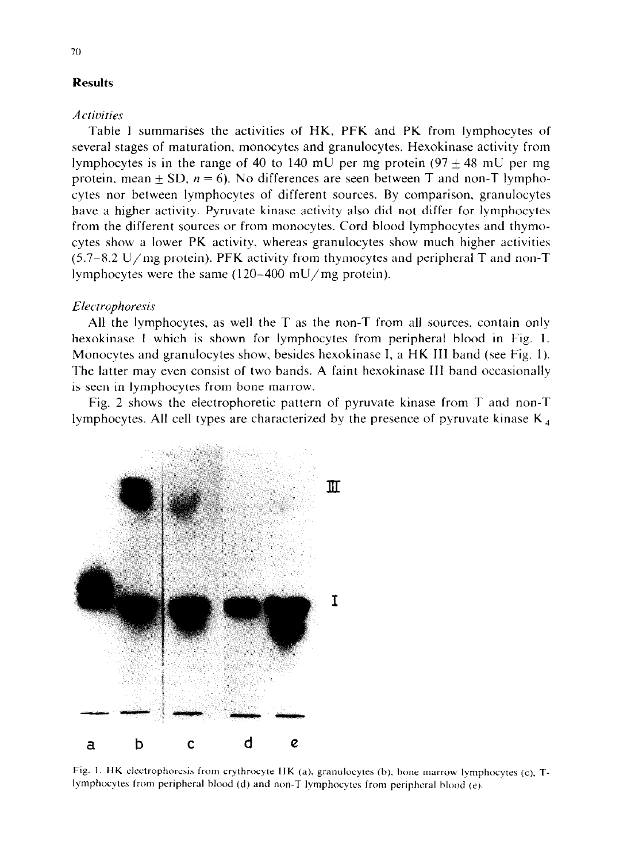## **Results**

#### *Actic!ities*

Table I summarises the activities of HK, PFK and PK from lymphocytes of several stages of maturation, monocytes and granulocytes. Hexokinase activity from lymphocytes is in the range of 40 to 140 mU per mg protein  $(97 + 48 \text{ mU per mg})$ protein, mean  $\pm$  SD,  $n = 6$ ). No differences are seen between T and non-T lymphocytes nor between lymphocytes of different sources. By comparison, granulocytes have a higher activity. Pyruvate kinase activity also did not differ for lymphocytes from the different sources or from monocytes. Cord blood lymphocytes and thymocytes show a lower PK activity, whereas granulocytes show much higher activities  $(5.7-8.2 \text{ U/mg protein})$ . PFK activity from thymocytes and peripheral T and non-T lymphocytes were the same (120-400 mU/mg protein).

## *Electrophoresis*

All the lymphocytes, as well the  $T$  as the non- $T$  from all sources, contain only hexokinase I which is shown for lymphocytes from peripheral blood in Fig. 1. Monocytes and granulocytes show, besides hexokinase I, a HK III band (see Fig. 1). The latter may even consist of two bands. A faint hexokinase III band occasionally is seen in lymphocytes from bone marrow.

Fig. 2 shows the electrophoretic pattern of pyruvate kinase from T and non-T lymphocytes. All cell types are characterized by the presence of pyruvate kinase  $K<sub>A</sub>$ 



Fig. 1. HK electrophoresis from erythrocyte HK (a). granulocytes (b). hone marrow lymphocytes (c). Tlymphocytes from peripheral blood (d) and non-T lymphocytes from peripheral blood (e).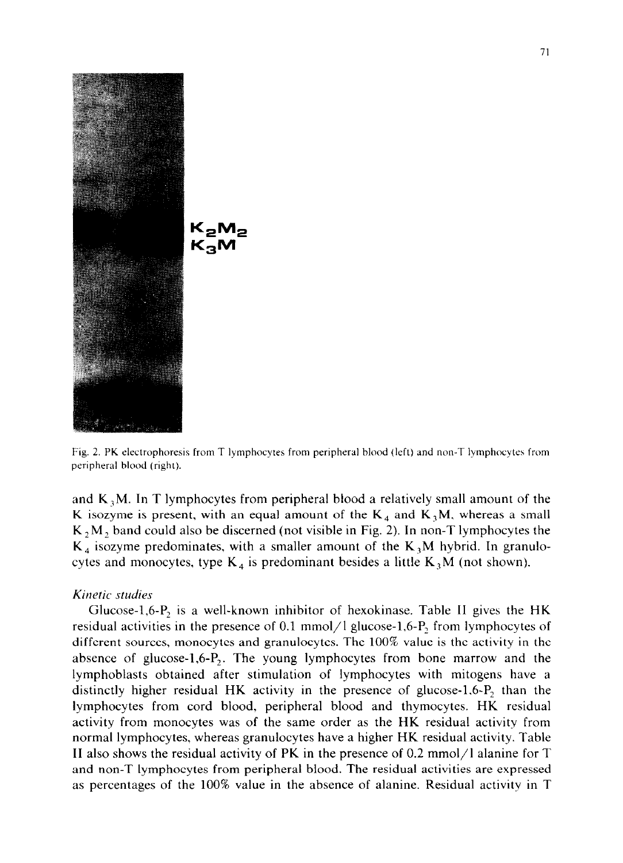

**Fig. 2. PK electrophoresis from T lymphocytes from peripheral blood (left) and non-T lymphocytes from peripheral blood (right).** 

and  $K<sub>3</sub>M$ . In T lymphocytes from peripheral blood a relatively small amount of the K isozyme is present, with an equal amount of the  $K_4$  and  $K_3M$ , whereas a small  $K_2M_2$ , band could also be discerned (not visible in Fig. 2). In non-T lymphocytes the  $K_4$  isozyme predominates, with a smaller amount of the  $K_3M$  hybrid. In granulocytes and monocytes, type  $K_4$  is predominant besides a little  $K_3M$  (not shown).

#### *Kinetic studies*

Glucose-1,6- $P_2$  is a well-known inhibitor of hexokinase. Table II gives the HK residual activities in the presence of 0.1 mmol/l glucose-1,6- $P_2$  from lymphocytes of different sources, monocytes and granulocytes. The 100% value is the activity in the absence of glucose-1,6- $P_2$ . The young lymphocytes from bone marrow and the lymphoblasts obtained after stimulation of lymphocytes with mitogens have a distinctly higher residual HK activity in the presence of glucose-1,6-P, than the lymphocytes from cord blood, peripheral blood and thymocytes. HK residual activity from monocytes was of the same order as the HK residual activity from normal lymphocytes, whereas granulocytes have a higher HK residual activity. Table II also shows the residual activity of PK in the presence of 0.2 mmol/l alanine for  $T$ and non-T lymphocytes from peripheral blood. The residual activities are expressed as percentages of the 100% value in the absence of alanine. Residual activity in T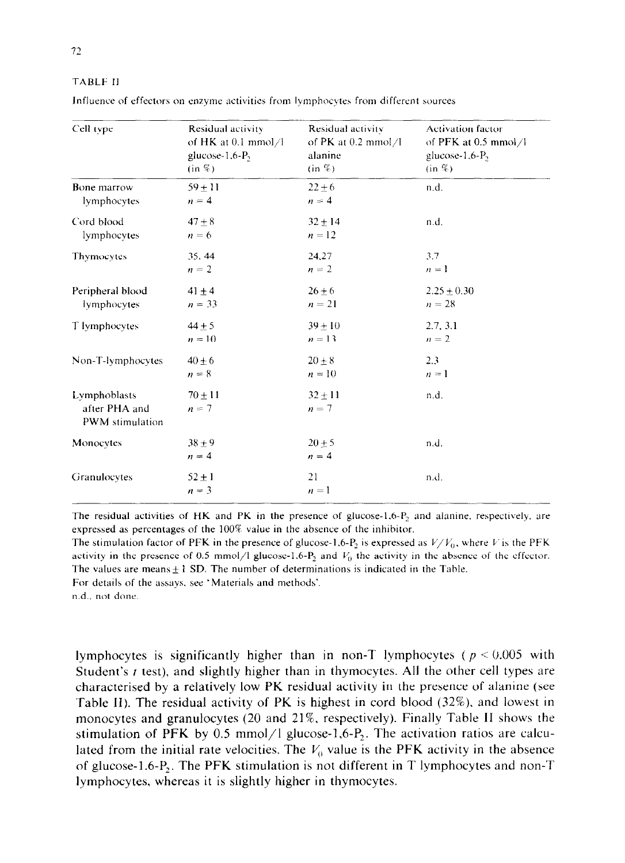TABLE II

| Cell type                                        | Residual activity               | Residual activity             | <b>Activation factor</b>   |
|--------------------------------------------------|---------------------------------|-------------------------------|----------------------------|
|                                                  | of HK at $0.1 \text{ mmol} / 1$ | of PK at $0.2 \text{ mmol}/1$ | of PFK at 0.5 mmol/l       |
|                                                  | glucose-1,6-P <sub>2</sub>      | alanine                       | glucose-1,6-P <sub>2</sub> |
|                                                  | (in %)                          | (in %)                        | $(in \mathcal{C})$         |
| Bone marrow                                      | $59 + 11$                       | $22 + 6$                      | n.d.                       |
| lymphocytes                                      | $n = 4$                         | $n = 4$                       |                            |
| Cord blood                                       | $47 \pm 8$                      | $32 + 14$                     | n.d.                       |
| lymphocytes                                      | $n = 6$                         | $n = 12$                      |                            |
| Thymocytes                                       | 35, 44                          | 24,27                         | 3.7                        |
|                                                  | $n = 2$                         | $n = 2$                       | $n = 1$                    |
| Peripheral blood                                 | $41 \pm 4$                      | $26 \pm 6$                    | $2.25 \pm 0.30$            |
| lymphocytes                                      | $n = 33$                        | $n = 21$                      | $n = 28$                   |
| T lymphocytes                                    | $44 \pm 5$                      | $39 + 10$                     | 2.7, 3.1                   |
|                                                  | $n = 10$                        | $n = 13$                      | $n = 2$                    |
| Non-T-lymphocytes                                | $40 + 6$                        | $20 \pm 8$                    | 2.3                        |
|                                                  | $n = 8$                         | $n = 10$                      | $n=1$                      |
| Lymphoblasts<br>after PHA and<br>PWM stimulation | $70 + 11$<br>$n = 7$            | $32 \pm 11$<br>$n = 7$        | n.d.                       |
| Monocytes                                        | $38 + 9$<br>$n = 4$             | $20 \pm 5$<br>$n = 4$         | n.d.                       |
| Granulocytes                                     | $52 \pm 1$<br>$n = 3$           | 21<br>$n=1$                   | n.d.                       |

Influence of effectors on enzyme activities from lymphocytes from different sources

The residual activities of HK and PK in the presence of glucose-1.6- $P_2$  and alanine, respectively, are expressed as percentages of the 100% value in the absence of the inhibitor.

The stimulation factor of PFK in the presence of glucose-1.6-P<sub>2</sub> is expressed as  $V/V_0$ , where V is the PFK activity in the presence of 0.5 mmol/l glucose-1.6-P<sub>2</sub> and  $V_0$  the activity in the absence of the effector. The values are means  $+1$  SD. The number of determinations is indicated in the Table.

For details of the assays, see 'Materials and methods'.

n.d., not done.

lymphocytes is significantly higher than in non-T lymphocytes ( $p < 0.005$  with Student's t test), and slightly higher than in thymocytes. All the other cell types are characterised by a relatively low PK residual activity in the presence of alanine (see Table II). The residual activity of PK is highest in cord blood (32%). and lowest in monocytes and granulocytes (20 and 21%, respectively). Finally Table II shows the stimulation of PFK by 0.5 mmol/l glucose-1,6- $P_2$ . The activation ratios are calculated from the initial rate velocities. The  $V_0$  value is the PFK activity in the absence of glucose-1.6-P,. The PFK stimulation is not different in T lymphocytes and non-T lymphocytes, whereas it is slightly higher in thymocytes.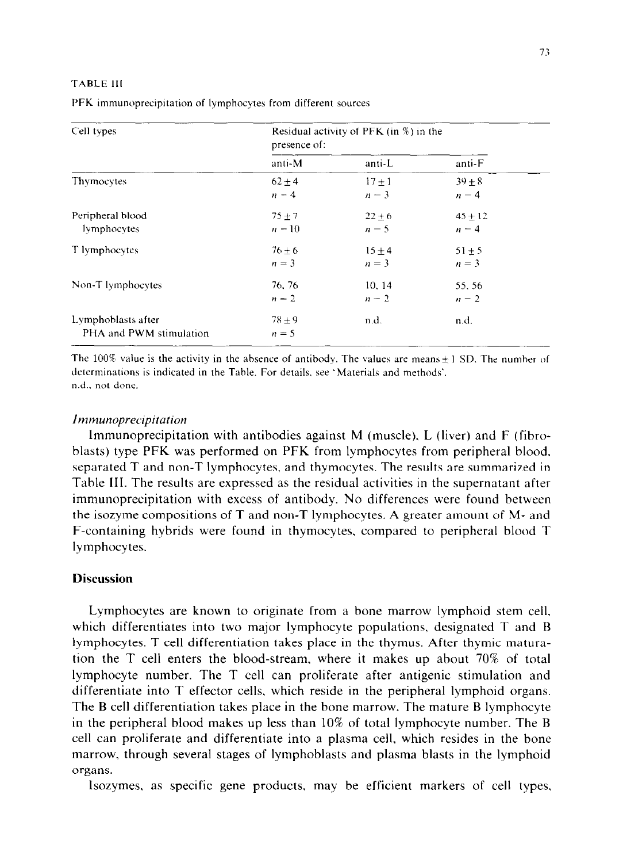#### TABLE 111

| Cell types                                    | Residual activity of PFK (in $\%$ ) in the<br>presence of: |                     |                      |  |
|-----------------------------------------------|------------------------------------------------------------|---------------------|----------------------|--|
|                                               | anti-M                                                     | anti-L              | anti-F               |  |
| Thymocytes                                    | $62 + 4$<br>$n = 4$                                        | $17 + 1$<br>$n = 3$ | $39 + 8$<br>$n = 4$  |  |
| Peripheral blood<br>lymphocytes               | $75 + 7$<br>$n = 10$                                       | $22 + 6$<br>$n = 5$ | $45 + 12$<br>$n = 4$ |  |
| T lymphocytes                                 | $76 + 6$<br>$n = 3$                                        | $15 + 4$<br>$n=3$   | $51 + 5$<br>$n = 3$  |  |
| Non-T lymphocytes                             | 76, 76<br>$n=2$                                            | 10.14<br>$n=2$      | 55.56<br>$n = 2$     |  |
| Lymphoblasts after<br>PHA and PWM stimulation | $78 + 9$<br>$n = 5$                                        | n.d.                | n.d.                 |  |

PFK immunoprecipitation of lymphocytes from different sources

The 100% value is the activity in the absence of antibody. The values are means  $\pm$  1 SD. The number of determinations is indicated in the Table. For details. see 'Materials and methods'. n.d.. not done.

## *Immunoprectpitation*

lmmunoprecipitation with antibodies against M (muscle), L (liver) and F (fibroblasts) type PFK was performed on PFK from lymphocytes from peripheral blood. separated T and non-T lymphocytes, and thymocytes. The results are summarized in Table III. The results are expressed as the residual activities in the supernatant after immunoprecipitation with excess of antibody. No differences were found between the isozyme compositions of T and non-T lymphocytes. A greater amount of M- and F-containing hybrids were found in thymocytes, compared to peripheral blood T lymphocytes.

# **Discussion**

Lymphocytes are known to originate from a bone marrow lymphoid stem cell. which differentiates into two major lymphocyte populations, designated T and B lymphocytes. T cell differentiation takes place in the thymus. After thymic maturation the T cell enters the blood-stream, where it makes up about 70% of total lymphocyte number. The T cell can proliferate after antigenic stimulation and differentiate into T effector cells. which reside in the peripheral lymphoid organs. The B cell differentiation takes place in the bone marrow. The mature B lymphocyte in the peripheral blood makes up less than 10% of total lymphocyte number. The B cell can proliferate and differentiate into a plasma cell, which resides in the bone marrow, through several stages of lymphoblasts and plasma blasts in the lymphoid organs.

Isozymes, as specific gene products, may be efficient markers of cell types,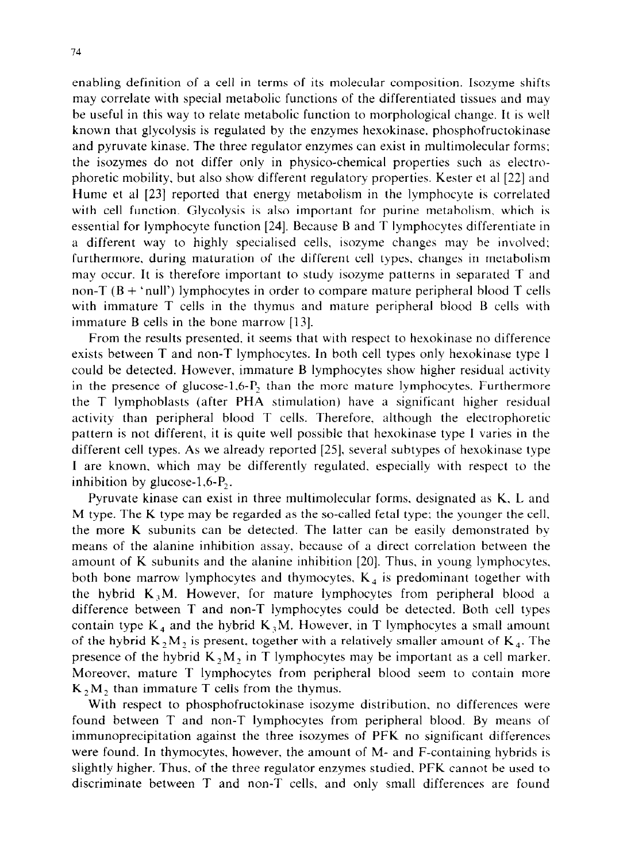enabling definition of a cell in terms of its molecular composition. Isozyme shifts may correlate with special metabolic functions of the differentiated tissues and may be useful in this way to relate metabolic function to morphological change. It is well known that glycolysis is regulated by the enzymes hexokinase. phosphofructokinase and pyruvate kinase. The three regulator enzymes can exist in multimolecular forms: the isozymes do not differ only in physico-chemical properties such as electrophoretic mobility, but also show different regulatory properties. Kester et al [22] and Hume et al [23] reported that energy metabolism in the lymphocyte is correlated with cell function. Glycolysis is also important for purine metabolism, which is essential for lymphocyte function [24]. Because B and T lymphocytes differentiate in a different way to highly specialised cells, isozyme changes may be involved: furthermore. during maturation of the different cell types, changes in metabolism may occur. It is therefore important to study isozyme patterns in separated T and non-T  $(B + 'null')$  lymphocytes in order to compare mature peripheral blood T cells with immature T cells in the thymus and mature peripheral blood B cells with immature B cells in the bone marrow [13].

From the results presented, it seems that with respect to hexokinase no difference exists between T and non-T lymphocytes. In both cell types only hexokinase type 1 could be detected. However, immature B lymphocytes show higher residual activity in the presence of glucose-1.6- $P_2$ , than the more mature lymphocytes. Furthermore the T lymphoblasts (after PHA stimulation) have a significant higher residual activity than peripheral blood T cells. Therefore. although the electrophoretic pattern is not different, it is quite well possible that hexokinase type I varies in the different cell types. As we already reported [25]. several subtypes of hexokinase type I are known, which may be differently regulated, especially with respect to the inhibition by glucose-1,6-P,.

Pyruvate kinase can exist in three multimolecular forms, designated as K, L and M type. The K type may be regarded as the so-called fetal type; the younger the cell. the more K subunits can be detected. The latter can be easily demonstrated by means of the alanine inhibition assay. because of a direct correlation between the amount of K subunits and the alanine inhibition [20]. Thus, in young lymphocytes, both bone marrow lymphocytes and thymocytes,  $K<sub>4</sub>$  is predominant together with the hybrid  $K<sub>3</sub>M$ . However, for mature lymphocytes from peripheral blood a difference between T and non-T lymphocytes could be detected. Both cell types contain type  $K_4$  and the hybrid  $K_3M$ . However, in T lymphocytes a small amount of the hybrid  $K_2M_2$  is present, together with a relatively smaller amount of  $K_4$ . The presence of the hybrid  $K_2M$ , in T lymphocytes may be important as a cell marker. Moreover, mature T lymphocytes from peripheral blood seem to contain more  $K_2M_2$  than immature T cells from the thymus.

With respect to phosphofructokinase isozyme distribution. no differences were found between T and non-T lymphocytes from peripheral blood. By means of immunoprecipitation against the three isozymes of PFK no significant differences were found. In thymocytes, however, the amount of M- and F-containing hybrids is slightly higher. Thus, of the three regulator enzymes studied, PFK cannot be used to discriminate between T and non-T cells, and only small differences are found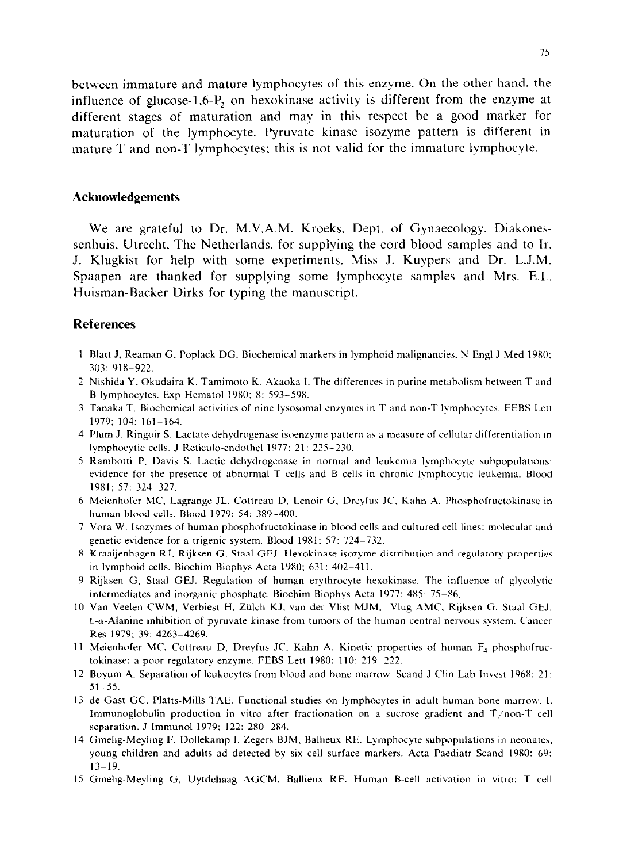between immature and mature lymphocytes of this enzyme. On the other hand. the influence of glucose-1,6-P, on hexokinase activity is different from the enzyme at different stages of maturation and may in this respect be a good marker for maturation of the lymphocyte. Pyruvate kinase isozyme pattern is different in mature T and non-T lymphocytes; this is not valid for the immature lymphocyte.

#### **Acknowledgements**

We are grateful to Dr. M.V.A.M. Kroeks, Dept. of Gynaecology, Diakonessenhuis, Utrecht, The Netherlands, for supplying the cord blood samples and to Ir. J. Klugkist for help with some experiments. Miss J. Kuypers and Dr. L.J.M. Spaapen are thanked for supplying some lymphocyte samples and Mrs. E.L. Huisman-Backer Dirks for typing the manuscript.

#### **References**

- 1 Blatt J, Reaman G. Poplack DG. Biochemical markers in lymphoid malignancies, N Engl J Med 1980: 303: 918-922.
- 2 Nishida Y. Okudaira K. Tamimoto K. Akaoka I. The differences in purine metabolism between T and B lymphocytes. Exp Hematol 1980; 8: 593-598.
- 3 Tanaka T. Biochemical activities of nine lysosomal enzymes in T and non-T lymphocytes. FEBS Lett 1979; 104: 161-164.
- 4 Plum J. Ringoir S. Lactate dehydrogenase isoenzyme pattern as a measure of cellular differentiation In lymphocytic cells. J Reticula-endothel 1977; 21: 225-230.
- 5 Rambotti P, Davis S. Lactic dehydrogenase in normal and leukemia lymphocyte subpopulatio evidence for the presence of abnormal T cells and B cells in chronic lymphocytic leukemia. Blood 1981; 57: 324-327.
- 6 Meienhofer MC. Lagrange JL. Cottreau D, Lenoir G. Dreyfus JC. Kahn A. Phoaphofructohinase m human blood cells. Blood 1979; 54: 389-400.
- 7 Vora W. Isozymes of human phosphofructokinase in blood cells and cultured cell lines: molecular and genetic evidence for a trigenic system. Blood 1981: 57: 724-732.
- 8 Kraaijenhagen RJ, Rijksen G, Staal GEJ. Hexokinase isozyme distribution and regulatory properties in lymphoid cells. Biochim Biophys Acta 1980; 631: 402-411.
- 9 Rijksen G, Staal GEJ. Regulation of human erythrocyte hexokinase. The influence of glycolyti intermediates and inorganic phosphate. Biochim Biophys Acta 1977; 485: 75–86.
- 10 Van Veelen CWM, Verbiest H. Ziilch KJ. van der Vlist MJM. Vlug AMC. Rijksen G. Staal GEJ.  $L-\alpha$ -Alanine inhibition of pyruvate kinase from tumors of the human central nervous system. Cancer Res 1979: 39: 4263-4269.
- 11 Meienhofer MC. Cottreau D, Dreyfus JC, Kahn A. Kinetic properties of human F<sub>4</sub> phosphofri tokinase: a poor regulatory enzyme. FEBS Lett 1980; 110: 219-222.
- 12 Boyum A. Separation of leukocytes from blood and hone marrow. Stand J Clin Lab Invest 1968: 21:  $51 - 55$ .
- 13 de Gast GC. Platts-Mills TAE. Functional studies on lymphocytes in adult human bone marrow. 1. Immunoglobulin production in vitro after fractionation on a sucrose gradient and T/non-T cell separation. J lmmunol 1979; 122: 280-284.
- 14 Gmelig-Meyling F, Dollekamp I, Zegers BJM, Ballieux RE. Lymphocyte subpopulations in neonate young children and adults ad detected by six cell surface markers. Acta Paediatr Scand 1980: 69: 13-19.
- 15 Gmelig-Meyling G. Uytdehaag AGCM, Ballieux RE. Human B-cell activation in vitro: T cell